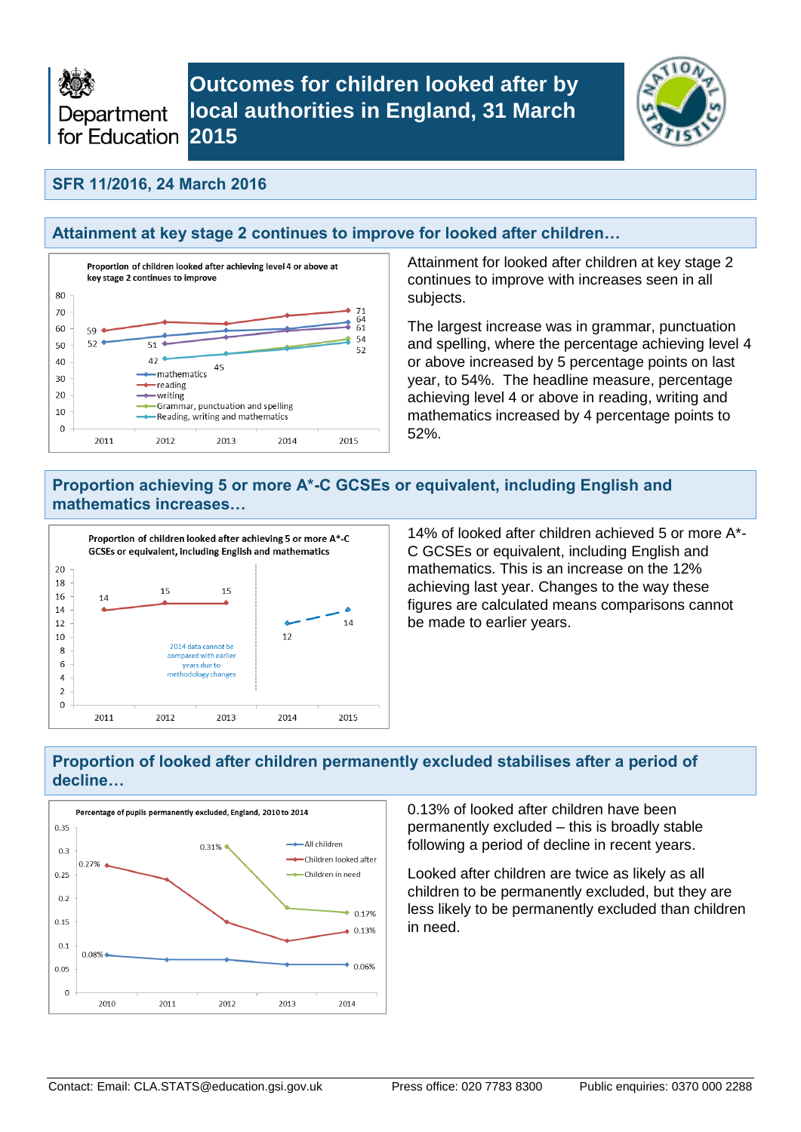

**Outcomes for children looked after by local authorities in England, 31 March** 



### **SFR 11/2016, 24 March 2016**

### **Attainment at key stage 2 continues to improve for looked after children…**



Attainment for looked after children at key stage 2 continues to improve with increases seen in all subjects.

The largest increase was in grammar, punctuation and spelling, where the percentage achieving level 4 or above increased by 5 percentage points on last year, to 54%. The headline measure, percentage achieving level 4 or above in reading, writing and mathematics increased by 4 percentage points to 52%.

### **Proportion achieving 5 or more A\*-C GCSEs or equivalent, including English and mathematics increases…**



14% of looked after children achieved 5 or more A\*- C GCSEs or equivalent, including English and mathematics. This is an increase on the 12% achieving last year. Changes to the way these figures are calculated means comparisons cannot be made to earlier years.

### **Proportion of looked after children permanently excluded stabilises after a period of decline…**



0.13% of looked after children have been permanently excluded – this is broadly stable following a period of decline in recent years.

Looked after children are twice as likely as all children to be permanently excluded, but they are less likely to be permanently excluded than children in need.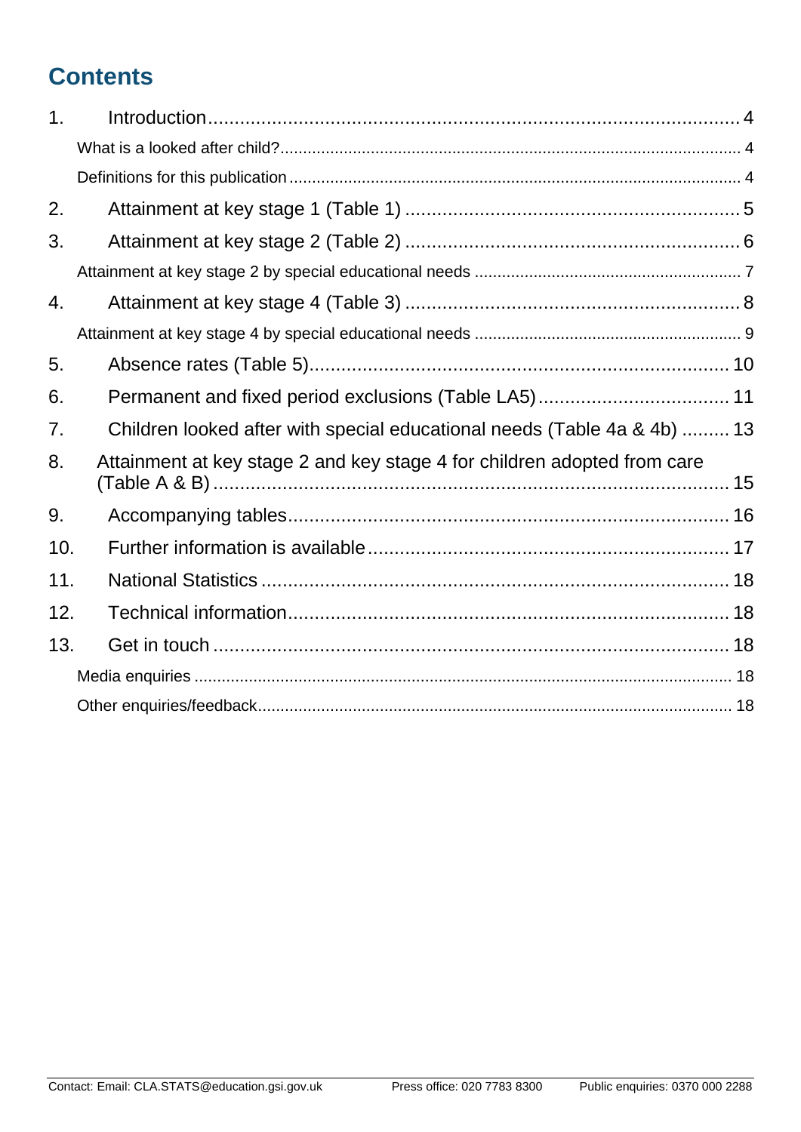# **Contents**

| 1 <sub>1</sub> |                                                                          |
|----------------|--------------------------------------------------------------------------|
|                |                                                                          |
|                |                                                                          |
| 2.             |                                                                          |
| 3.             |                                                                          |
|                |                                                                          |
| 4.             |                                                                          |
|                |                                                                          |
| 5.             |                                                                          |
| 6.             |                                                                          |
| 7 <sub>1</sub> | Children looked after with special educational needs (Table 4a & 4b)  13 |
| 8.             | Attainment at key stage 2 and key stage 4 for children adopted from care |
| 9.             |                                                                          |
| 10.            |                                                                          |
| 11.            |                                                                          |
| 12.            |                                                                          |
| 13.            |                                                                          |
|                |                                                                          |
|                |                                                                          |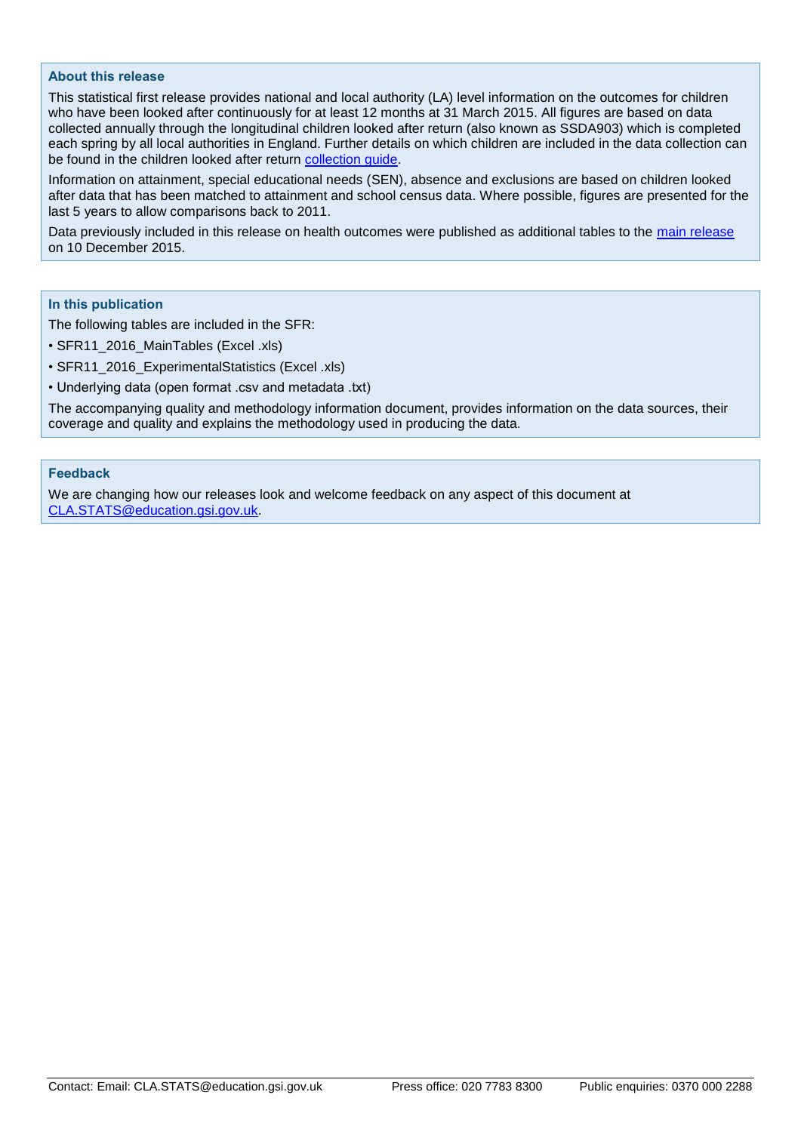#### **About this release**

This statistical first release provides national and local authority (LA) level information on the outcomes for children who have been looked after continuously for at least 12 months at 31 March 2015. All figures are based on data collected annually through the longitudinal children looked after return (also known as SSDA903) which is completed each spring by all local authorities in England. Further details on which children are included in the data collection can be found in the children looked after return [collection guide.](https://www.gov.uk/government/publications/children-looked-after-return-2015-to-2016-guide)

Information on attainment, special educational needs (SEN), absence and exclusions are based on children looked after data that has been matched to attainment and school census data. Where possible, figures are presented for the last 5 years to allow comparisons back to 2011.

Data previously included in this release on health outcomes were published as additional tables to the [main release](https://www.gov.uk/government/collections/statistics-looked-after-children) on 10 December 2015.

#### **In this publication**

The following tables are included in the SFR:

- SFR11\_2016\_MainTables (Excel .xls)
- SFR11\_2016\_ExperimentalStatistics (Excel .xls)
- Underlying data (open format .csv and metadata .txt)

The accompanying quality and methodology information document, provides information on the data sources, their coverage and quality and explains the methodology used in producing the data.

#### **Feedback**

We are changing how our releases look and welcome feedback on any aspect of this document at [CLA.STATS@education.gsi.gov.uk.](file://///lonnetapp01/ASDDATA/DSGS1/Child%20Based%20Returns/CLA-NPD/2015/SFR/Text/CLA.STATS@education.gsi.gov.uk)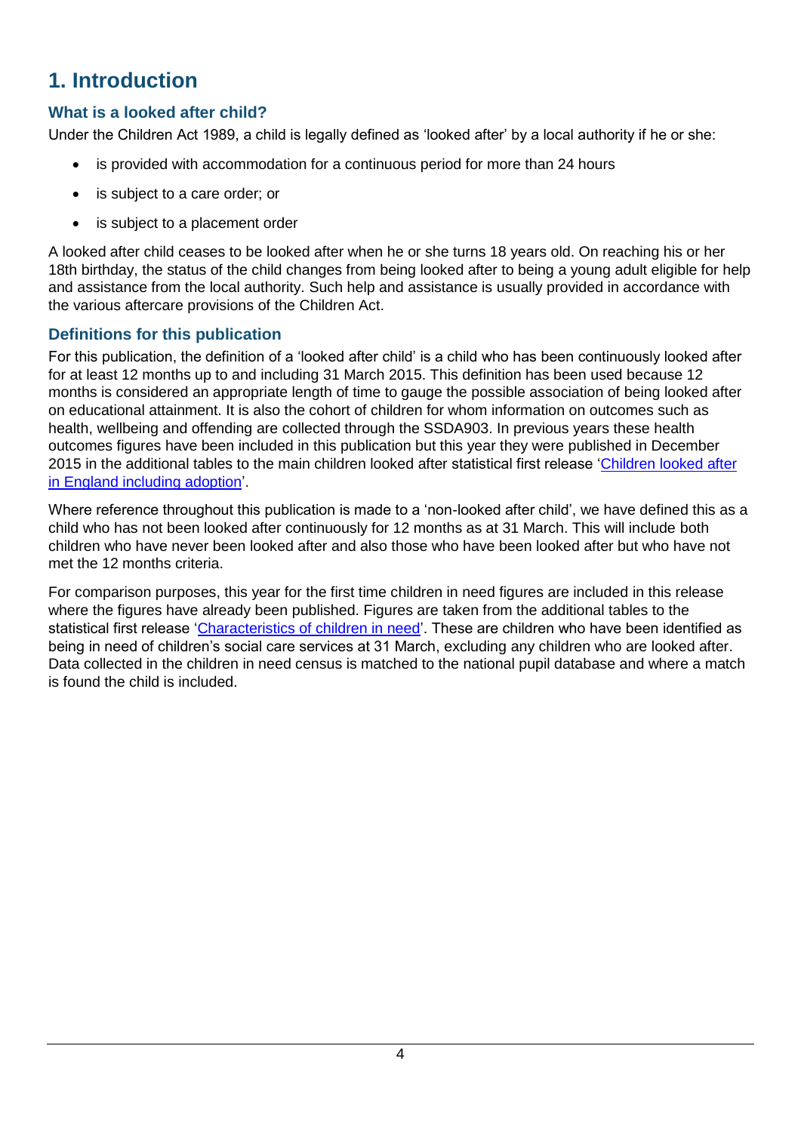## <span id="page-3-0"></span>**1. Introduction**

## <span id="page-3-1"></span>**What is a looked after child?**

Under the Children Act 1989, a child is legally defined as 'looked after' by a local authority if he or she:

- is provided with accommodation for a continuous period for more than 24 hours
- is subject to a care order; or
- is subject to a placement order

A looked after child ceases to be looked after when he or she turns 18 years old. On reaching his or her 18th birthday, the status of the child changes from being looked after to being a young adult eligible for help and assistance from the local authority. Such help and assistance is usually provided in accordance with the various aftercare provisions of the Children Act.

### <span id="page-3-2"></span>**Definitions for this publication**

For this publication, the definition of a 'looked after child' is a child who has been continuously looked after for at least 12 months up to and including 31 March 2015. This definition has been used because 12 months is considered an appropriate length of time to gauge the possible association of being looked after on educational attainment. It is also the cohort of children for whom information on outcomes such as health, wellbeing and offending are collected through the SSDA903. In previous years these health outcomes figures have been included in this publication but this year they were published in December 2015 in the additional tables to the main children looked after statistical first release ['Children looked after](https://www.gov.uk/government/collections/statistics-looked-after-children)  [in England including adoption'](https://www.gov.uk/government/collections/statistics-looked-after-children).

Where reference throughout this publication is made to a 'non-looked after child', we have defined this as a child who has not been looked after continuously for 12 months as at 31 March. This will include both children who have never been looked after and also those who have been looked after but who have not met the 12 months criteria.

For comparison purposes, this year for the first time children in need figures are included in this release where the figures have already been published. Figures are taken from the additional tables to the statistical first release ['Characteristics of children in need'.](https://www.gov.uk/government/collections/statistics-children-in-need) These are children who have been identified as being in need of children's social care services at 31 March, excluding any children who are looked after. Data collected in the children in need census is matched to the national pupil database and where a match is found the child is included.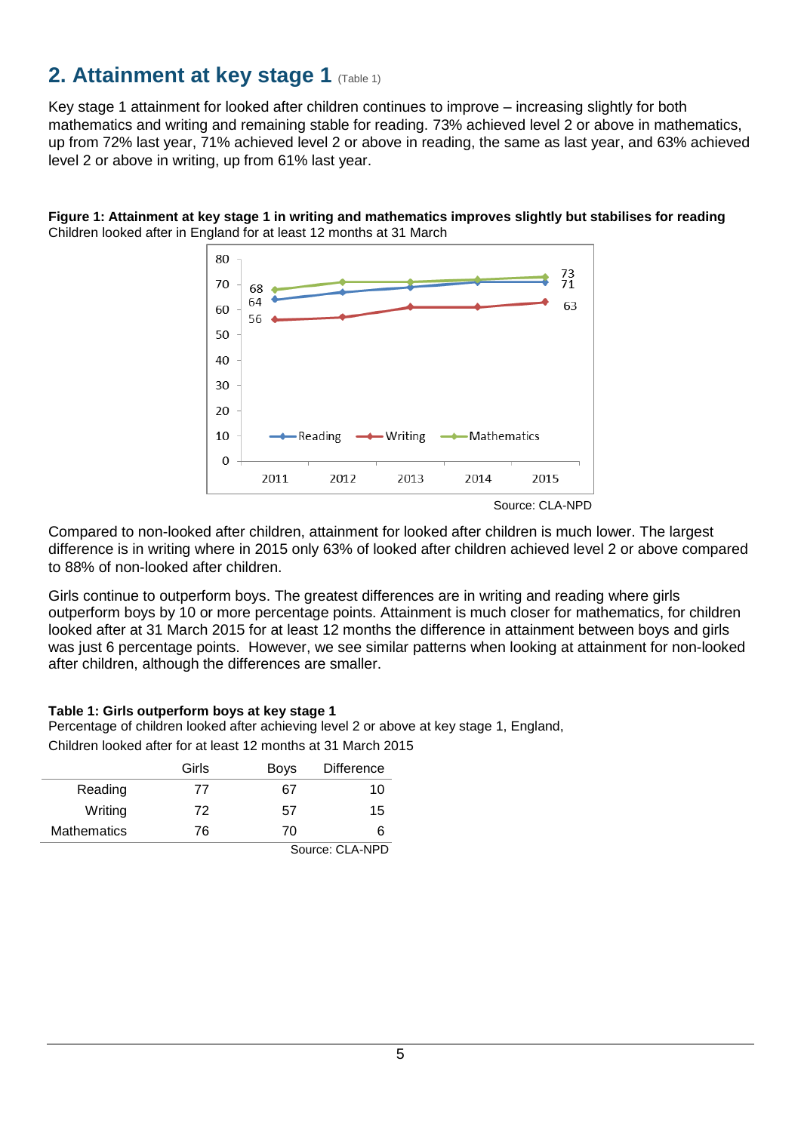## <span id="page-4-0"></span>**2. Attainment at key stage 1 (Table 1)**

Key stage 1 attainment for looked after children continues to improve – increasing slightly for both mathematics and writing and remaining stable for reading. 73% achieved level 2 or above in mathematics, up from 72% last year, 71% achieved level 2 or above in reading, the same as last year, and 63% achieved level 2 or above in writing, up from 61% last year.





Compared to non-looked after children, attainment for looked after children is much lower. The largest difference is in writing where in 2015 only 63% of looked after children achieved level 2 or above compared to 88% of non-looked after children.

Girls continue to outperform boys. The greatest differences are in writing and reading where girls outperform boys by 10 or more percentage points. Attainment is much closer for mathematics, for children looked after at 31 March 2015 for at least 12 months the difference in attainment between bovs and girls was just 6 percentage points. However, we see similar patterns when looking at attainment for non-looked after children, although the differences are smaller.

#### **Table 1: Girls outperform boys at key stage 1**

Percentage of children looked after achieving level 2 or above at key stage 1, England,

Children looked after for at least 12 months at 31 March 2015

|                    | Girls           | <b>Boys</b> | <b>Difference</b> |
|--------------------|-----------------|-------------|-------------------|
| Reading            | 77              | 67          | 10                |
| Writing            | 72              | 57          | 15                |
| <b>Mathematics</b> | 76              | 70          | ห                 |
|                    | Source: CLA-NPD |             |                   |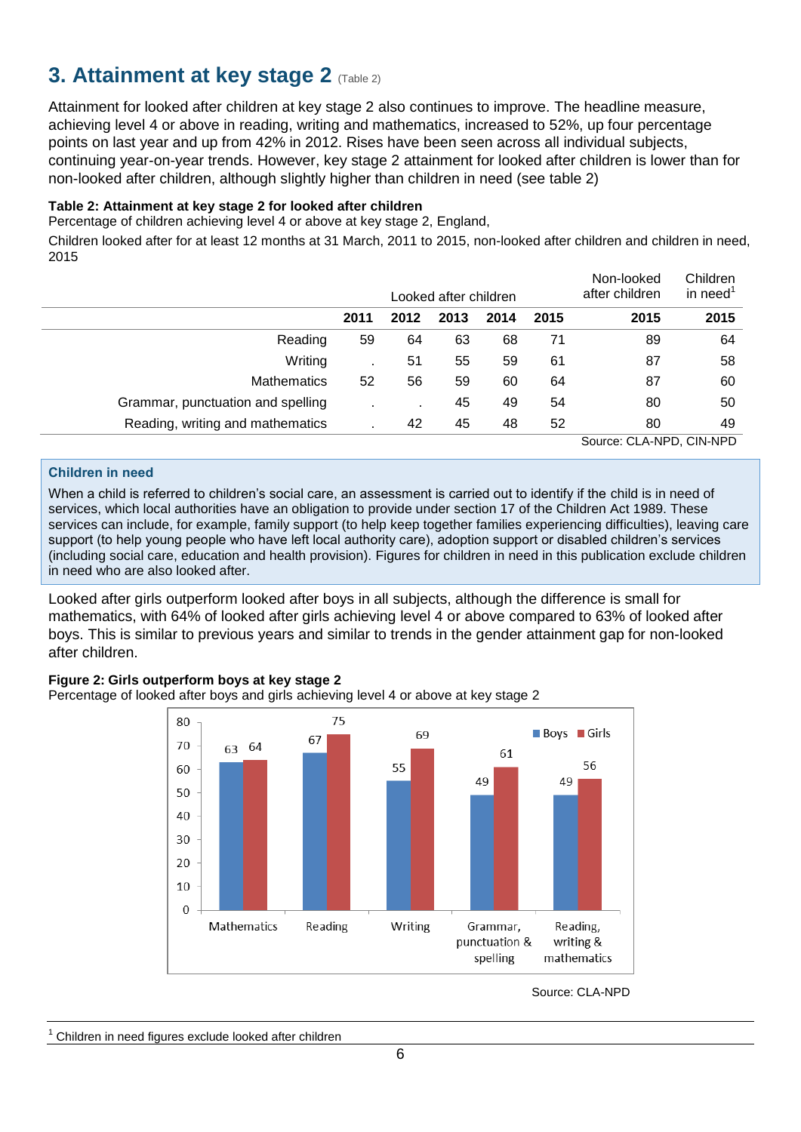## <span id="page-5-0"></span>**3. Attainment at key stage 2 (Table 2)**

Attainment for looked after children at key stage 2 also continues to improve. The headline measure, achieving level 4 or above in reading, writing and mathematics, increased to 52%, up four percentage points on last year and up from 42% in 2012. Rises have been seen across all individual subjects, continuing year-on-year trends. However, key stage 2 attainment for looked after children is lower than for non-looked after children, although slightly higher than children in need (see table 2)

### **Table 2: Attainment at key stage 2 for looked after children**

Percentage of children achieving level 4 or above at key stage 2, England,

Children looked after for at least 12 months at 31 March, 2011 to 2015, non-looked after children and children in need, 2015

|                                   |      |                | Looked after children |      |      | Non-looked<br>after children | Children<br>in need |
|-----------------------------------|------|----------------|-----------------------|------|------|------------------------------|---------------------|
|                                   | 2011 | 2012           | 2013                  | 2014 | 2015 | 2015                         | 2015                |
| Reading                           | 59   | 64             | 63                    | 68   | 71   | 89                           | 64                  |
| Writing                           |      | 51             | 55                    | 59   | 61   | 87                           | 58                  |
| <b>Mathematics</b>                | 52   | 56             | 59                    | 60   | 64   | 87                           | 60                  |
| Grammar, punctuation and spelling |      | $\blacksquare$ | 45                    | 49   | 54   | 80                           | 50                  |
| Reading, writing and mathematics  |      | 42             | 45                    | 48   | 52   | 80                           | 49                  |
|                                   |      |                |                       |      |      | Source: CLA-NPD, CIN-NPD     |                     |

#### **Children in need**

When a child is referred to children's social care, an assessment is carried out to identify if the child is in need of services, which local authorities have an obligation to provide under section 17 of the Children Act 1989. These services can include, for example, family support (to help keep together families experiencing difficulties), leaving care support (to help young people who have left local authority care), adoption support or disabled children's services (including social care, education and health provision). Figures for children in need in this publication exclude children in need who are also looked after.

Looked after girls outperform looked after boys in all subjects, although the difference is small for mathematics, with 64% of looked after girls achieving level 4 or above compared to 63% of looked after boys. This is similar to previous years and similar to trends in the gender attainment gap for non-looked after children.

#### **Figure 2: Girls outperform boys at key stage 2**

Percentage of looked after boys and girls achieving level 4 or above at key stage 2



Source: CLA-NPD

Children in need figures exclude looked after children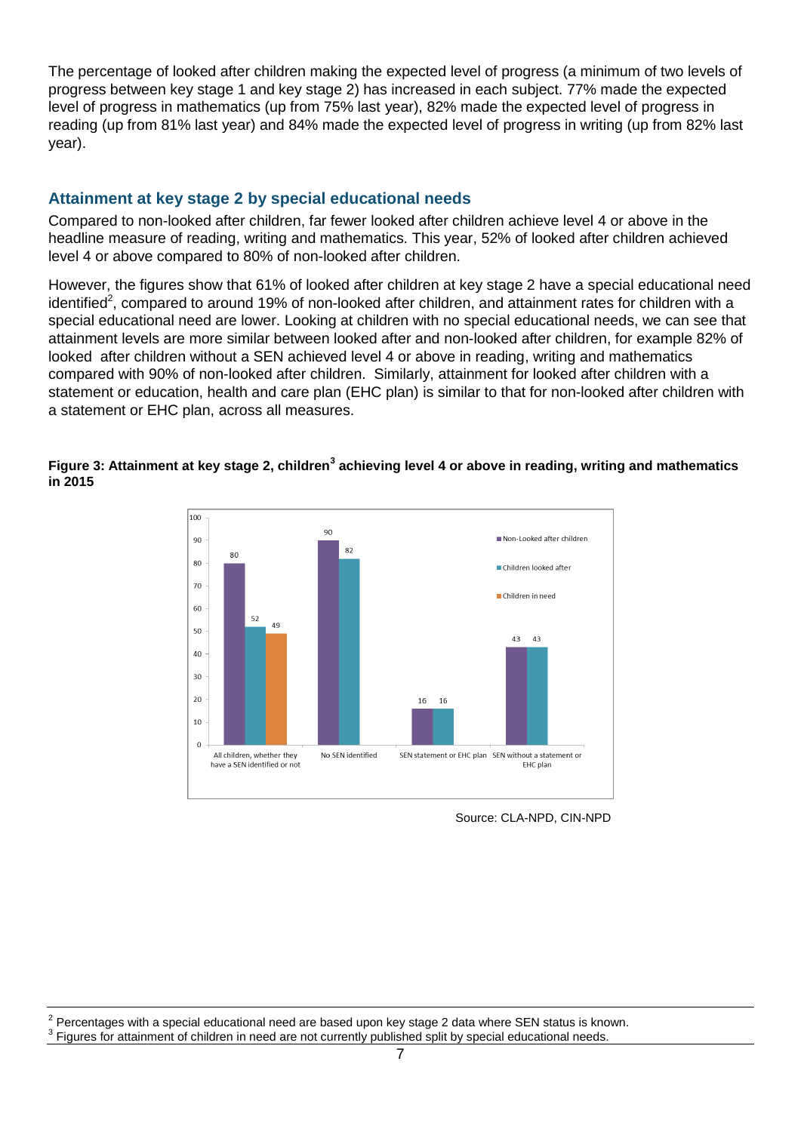The percentage of looked after children making the expected level of progress (a minimum of two levels of progress between key stage 1 and key stage 2) has increased in each subject. 77% made the expected level of progress in mathematics (up from 75% last year), 82% made the expected level of progress in reading (up from 81% last year) and 84% made the expected level of progress in writing (up from 82% last year).

### <span id="page-6-0"></span>**Attainment at key stage 2 by special educational needs**

Compared to non-looked after children, far fewer looked after children achieve level 4 or above in the headline measure of reading, writing and mathematics. This year, 52% of looked after children achieved level 4 or above compared to 80% of non-looked after children.

However, the figures show that 61% of looked after children at key stage 2 have a special educational need identified<sup>2</sup>, compared to around 19% of non-looked after children, and attainment rates for children with a special educational need are lower. Looking at children with no special educational needs, we can see that attainment levels are more similar between looked after and non-looked after children, for example 82% of looked after children without a SEN achieved level 4 or above in reading, writing and mathematics compared with 90% of non-looked after children. Similarly, attainment for looked after children with a statement or education, health and care plan (EHC plan) is similar to that for non-looked after children with a statement or EHC plan, across all measures.

#### Figure 3: Attainment at key stage 2, children<sup>3</sup> achieving level 4 or above in reading, writing and mathematics **in 2015**



Source: CLA-NPD, CIN-NPD

2 Percentages with a special educational need are based upon key stage 2 data where SEN status is known.  $3$  Figures for attainment of children in need are not currently published split by special educational needs.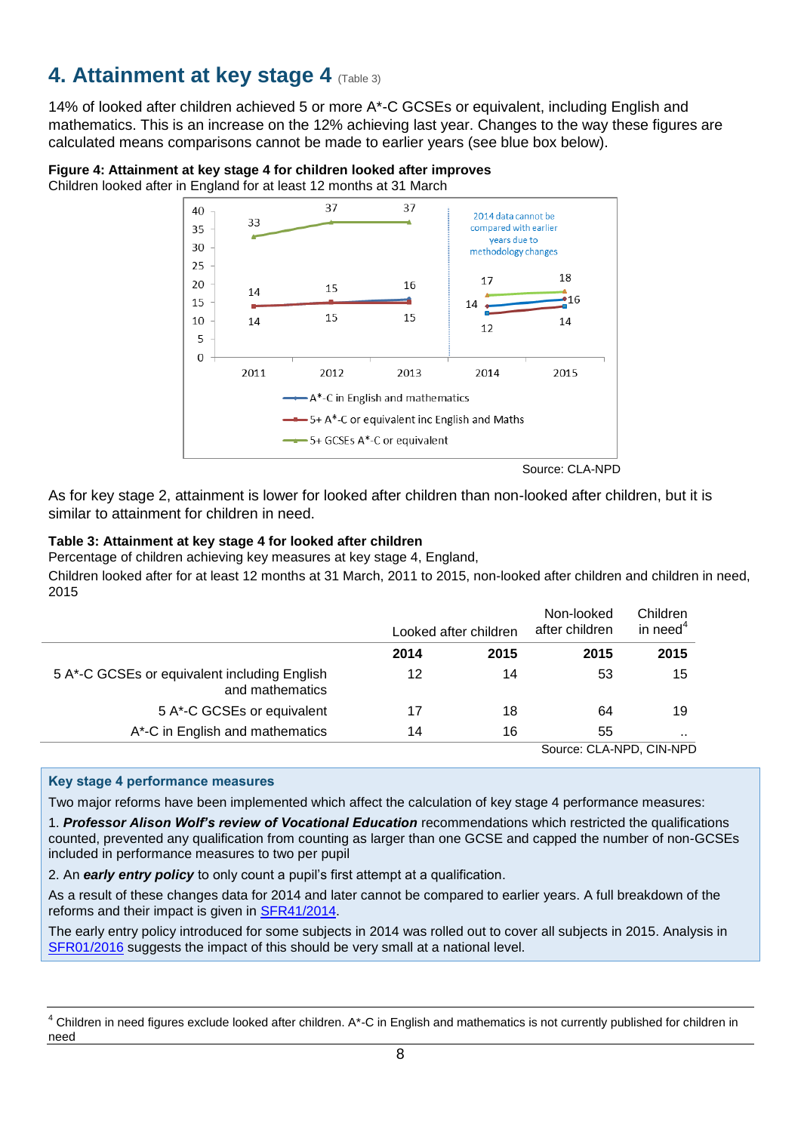## <span id="page-7-0"></span>**4. Attainment at key stage 4 (Table 3)**

14% of looked after children achieved 5 or more A\*-C GCSEs or equivalent, including English and mathematics. This is an increase on the 12% achieving last year. Changes to the way these figures are calculated means comparisons cannot be made to earlier years (see blue box below).

#### **Figure 4: Attainment at key stage 4 for children looked after improves**

Children looked after in England for at least 12 months at 31 March



Source: CLA-NPD

As for key stage 2, attainment is lower for looked after children than non-looked after children, but it is similar to attainment for children in need.

#### **Table 3: Attainment at key stage 4 for looked after children**

Percentage of children achieving key measures at key stage 4, England,

Children looked after for at least 12 months at 31 March, 2011 to 2015, non-looked after children and children in need, 2015

|                                                                 |      | Looked after children | Non-looked<br>after children | Children<br>in need <sup>4</sup> |
|-----------------------------------------------------------------|------|-----------------------|------------------------------|----------------------------------|
|                                                                 | 2014 | 2015                  | 2015                         | 2015                             |
| 5 A*-C GCSEs or equivalent including English<br>and mathematics | 12   | 14                    | 53                           | 15                               |
| 5 A*-C GCSEs or equivalent                                      | 17   | 18                    | 64                           | 19                               |
| A*-C in English and mathematics                                 | 14   | 16                    | 55                           |                                  |
|                                                                 |      |                       | Source: CLA-NPD, CIN-NPD     |                                  |

#### **Key stage 4 performance measures**

Two major reforms have been implemented which affect the calculation of key stage 4 performance measures:

1. *Professor Alison Wolf's review of Vocational Education* recommendations which restricted the qualifications counted, prevented any qualification from counting as larger than one GCSE and capped the number of non-GCSEs included in performance measures to two per pupil

2. An *early entry policy* to only count a pupil's first attempt at a qualification.

As a result of these changes data for 2014 and later cannot be compared to earlier years. A full breakdown of the reforms and their impact is given in [SFR41/2014.](https://www.gov.uk/government/statistics/provisional-gcse-and-equivalent-results-in-england-2013-to-2014)

The early entry policy introduced for some subjects in 2014 was rolled out to cover all subjects in 2015. Analysis in [SFR01/2016](https://www.gov.uk/government/statistics/revised-gcse-and-equivalent-results-in-england-2014-to-2015) suggests the impact of this should be very small at a national level.

<sup>4</sup> Children in need figures exclude looked after children. A\*-C in English and mathematics is not currently published for children in need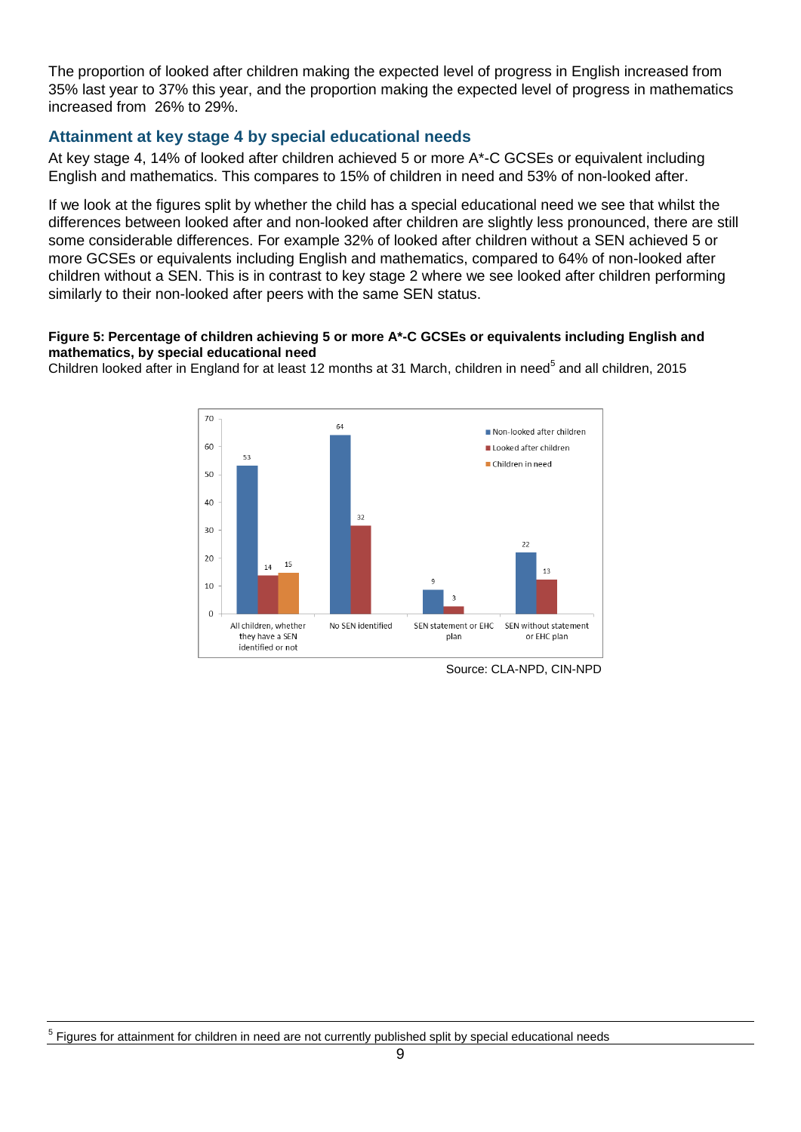The proportion of looked after children making the expected level of progress in English increased from 35% last year to 37% this year, and the proportion making the expected level of progress in mathematics increased from 26% to 29%.

### <span id="page-8-0"></span>**Attainment at key stage 4 by special educational needs**

At key stage 4, 14% of looked after children achieved 5 or more A\*-C GCSEs or equivalent including English and mathematics. This compares to 15% of children in need and 53% of non-looked after.

If we look at the figures split by whether the child has a special educational need we see that whilst the differences between looked after and non-looked after children are slightly less pronounced, there are still some considerable differences. For example 32% of looked after children without a SEN achieved 5 or more GCSEs or equivalents including English and mathematics, compared to 64% of non-looked after children without a SEN. This is in contrast to key stage 2 where we see looked after children performing similarly to their non-looked after peers with the same SEN status.

#### **Figure 5: Percentage of children achieving 5 or more A\*-C GCSEs or equivalents including English and mathematics, by special educational need**

Children looked after in England for at least 12 months at 31 March, children in need<sup>5</sup> and all children, 2015



Source: CLA-NPD, CIN-NPD

<sup>5</sup> Figures for attainment for children in need are not currently published split by special educational needs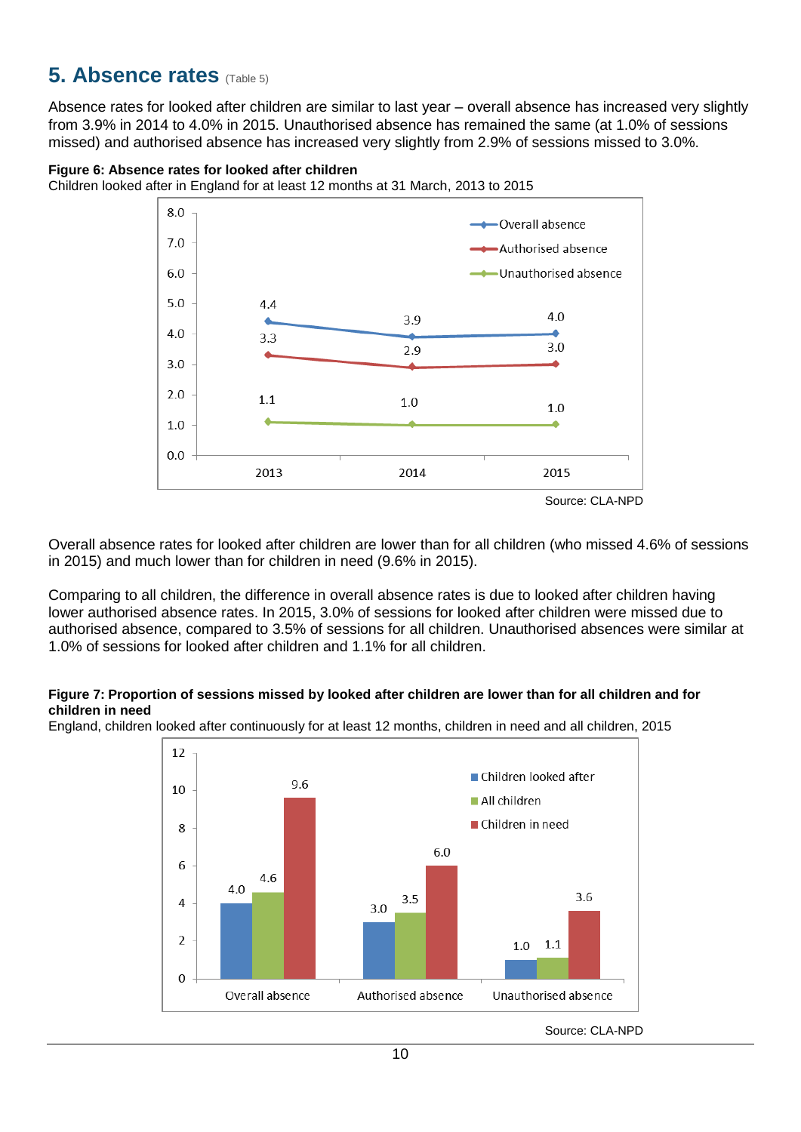## <span id="page-9-0"></span>**5. Absence rates** (Table 5)

Absence rates for looked after children are similar to last year – overall absence has increased very slightly from 3.9% in 2014 to 4.0% in 2015. Unauthorised absence has remained the same (at 1.0% of sessions missed) and authorised absence has increased very slightly from 2.9% of sessions missed to 3.0%.

#### **Figure 6: Absence rates for looked after children**

Children looked after in England for at least 12 months at 31 March, 2013 to 2015



Overall absence rates for looked after children are lower than for all children (who missed 4.6% of sessions in 2015) and much lower than for children in need (9.6% in 2015).

Comparing to all children, the difference in overall absence rates is due to looked after children having lower authorised absence rates. In 2015, 3.0% of sessions for looked after children were missed due to authorised absence, compared to 3.5% of sessions for all children. Unauthorised absences were similar at 1.0% of sessions for looked after children and 1.1% for all children.

#### **Figure 7: Proportion of sessions missed by looked after children are lower than for all children and for children in need**

England, children looked after continuously for at least 12 months, children in need and all children, 2015



Source: CLA-NPD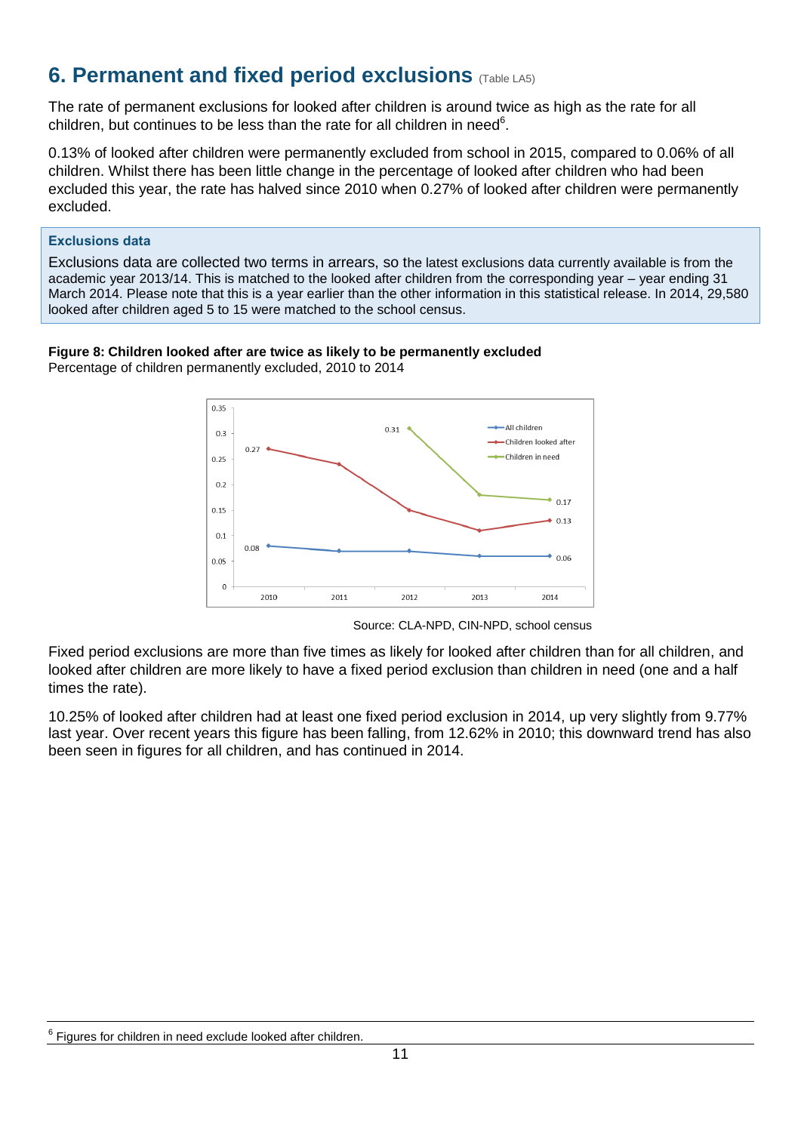## <span id="page-10-0"></span>**6. Permanent and fixed period exclusions** (Table LA5)

The rate of permanent exclusions for looked after children is around twice as high as the rate for all children, but continues to be less than the rate for all children in need $6$ .

0.13% of looked after children were permanently excluded from school in 2015, compared to 0.06% of all children. Whilst there has been little change in the percentage of looked after children who had been excluded this year, the rate has halved since 2010 when 0.27% of looked after children were permanently excluded.

#### **Exclusions data**

Exclusions data are collected two terms in arrears, so the latest exclusions data currently available is from the academic year 2013/14. This is matched to the looked after children from the corresponding year – year ending 31 March 2014. Please note that this is a year earlier than the other information in this statistical release. In 2014, 29,580 looked after children aged 5 to 15 were matched to the school census.

### **Figure 8: Children looked after are twice as likely to be permanently excluded**

Percentage of children permanently excluded, 2010 to 2014



Source: CLA-NPD, CIN-NPD, school census

Fixed period exclusions are more than five times as likely for looked after children than for all children, and looked after children are more likely to have a fixed period exclusion than children in need (one and a half times the rate).

10.25% of looked after children had at least one fixed period exclusion in 2014, up very slightly from 9.77% last year. Over recent years this figure has been falling, from 12.62% in 2010; this downward trend has also been seen in figures for all children, and has continued in 2014.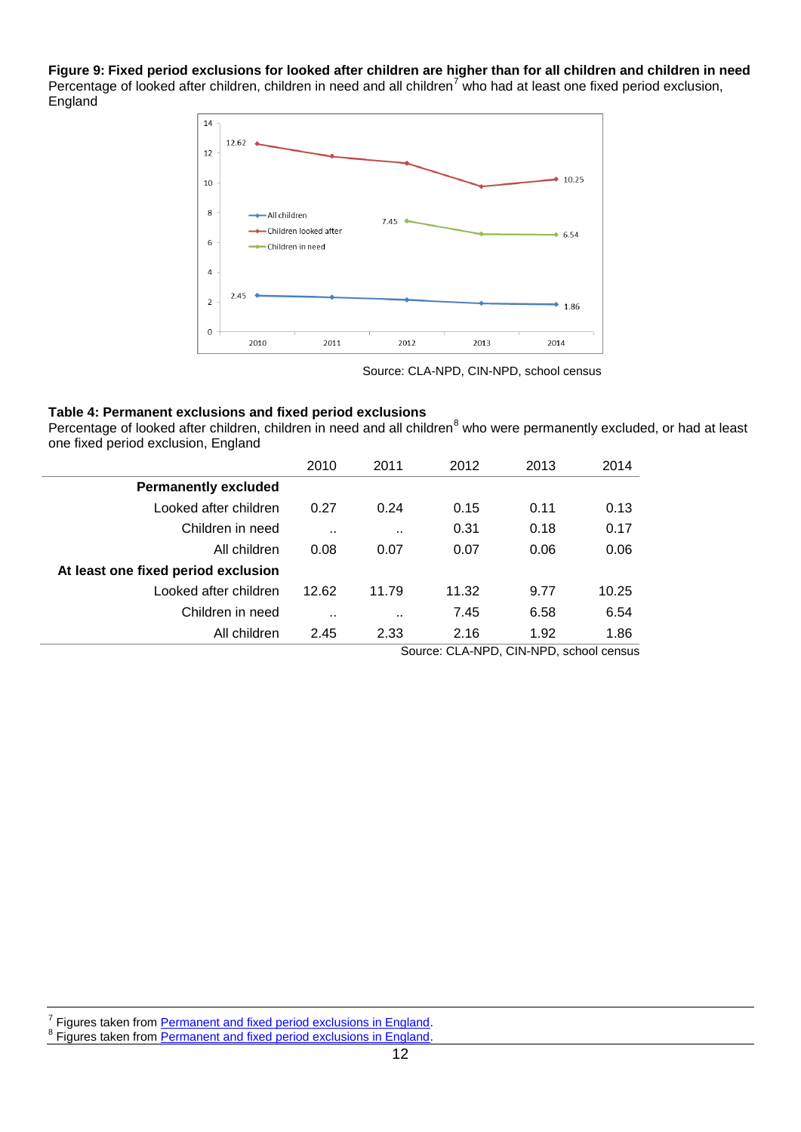**Figure 9: Fixed period exclusions for looked after children are higher than for all children and children in need** Percentage of looked after children, children in need and all children<sup>7</sup> who had at least one fixed period exclusion, England



Source: CLA-NPD, CIN-NPD, school census

#### **Table 4: Permanent exclusions and fixed period exclusions**

Percentage of looked after children, children in need and all children<sup>8</sup> who were permanently excluded, or had at least one fixed period exclusion, England

|                                     | 2010      | 2011                 | 2012                                    | 2013 | 2014  |
|-------------------------------------|-----------|----------------------|-----------------------------------------|------|-------|
| <b>Permanently excluded</b>         |           |                      |                                         |      |       |
| Looked after children               | 0.27      | 0.24                 | 0.15                                    | 0.11 | 0.13  |
| Children in need                    | $\sim$    | $\ddot{\phantom{a}}$ | 0.31                                    | 0.18 | 0.17  |
| All children                        | 0.08      | 0.07                 | 0.07                                    | 0.06 | 0.06  |
| At least one fixed period exclusion |           |                      |                                         |      |       |
| Looked after children               | 12.62     | 11.79                | 11.32                                   | 9.77 | 10.25 |
| Children in need                    | $\cdot$ . | $\ddot{\phantom{a}}$ | 7.45                                    | 6.58 | 6.54  |
| All children                        | 2.45      | 2.33                 | 2.16                                    | 1.92 | 1.86  |
|                                     |           |                      | Source: CLA-NPD, CIN-NPD, school census |      |       |

7 Figures taken from [Permanent and fixed period exclusions in England.](https://www.gov.uk/government/collections/statistics-exclusions)

<sup>8</sup> Figures taken from [Permanent and fixed period exclusions in England.](https://www.gov.uk/government/collections/statistics-exclusions)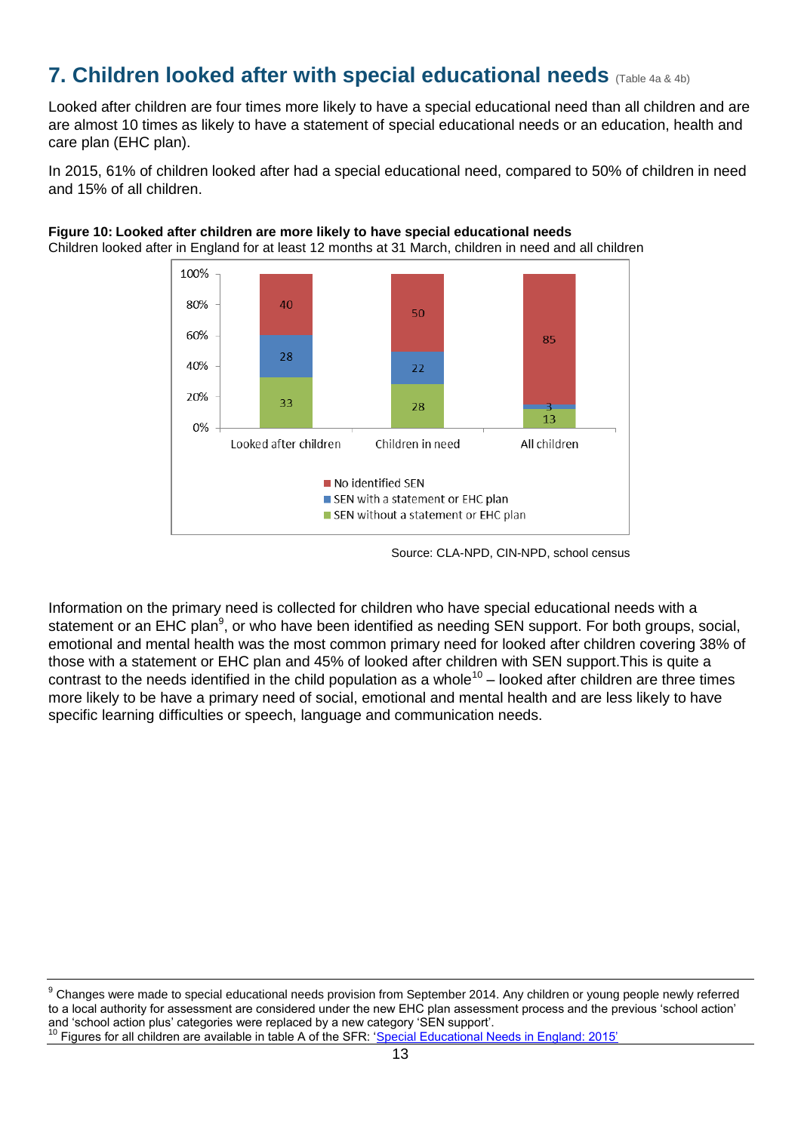## <span id="page-12-0"></span>**7. Children looked after with special educational needs** (Table 4a & 4b)

Looked after children are four times more likely to have a special educational need than all children and are are almost 10 times as likely to have a statement of special educational needs or an education, health and care plan (EHC plan).

In 2015, 61% of children looked after had a special educational need, compared to 50% of children in need and 15% of all children.



#### **Figure 10: Looked after children are more likely to have special educational needs** Children looked after in England for at least 12 months at 31 March, children in need and all children

Information on the primary need is collected for children who have special educational needs with a statement or an EHC plan<sup>9</sup>, or who have been identified as needing SEN support. For both groups, social, emotional and mental health was the most common primary need for looked after children covering 38% of those with a statement or EHC plan and 45% of looked after children with SEN support.This is quite a contrast to the needs identified in the child population as a whole<sup>10</sup> – looked after children are three times more likely to be have a primary need of social, emotional and mental health and are less likely to have specific learning difficulties or speech, language and communication needs.

Source: CLA-NPD, CIN-NPD, school census

<sup>9</sup> Changes were made to special educational needs provision from September 2014. Any children or young people newly referred to a local authority for assessment are considered under the new EHC plan assessment process and the previous 'school action' and 'school action plus' categories were replaced by a new category 'SEN support'.

Figures for all children are available in table A of the SFR: ['Special Educational Needs in England: 2015'](https://www.gov.uk/government/statistics/special-educational-needs-in-england-january-2015)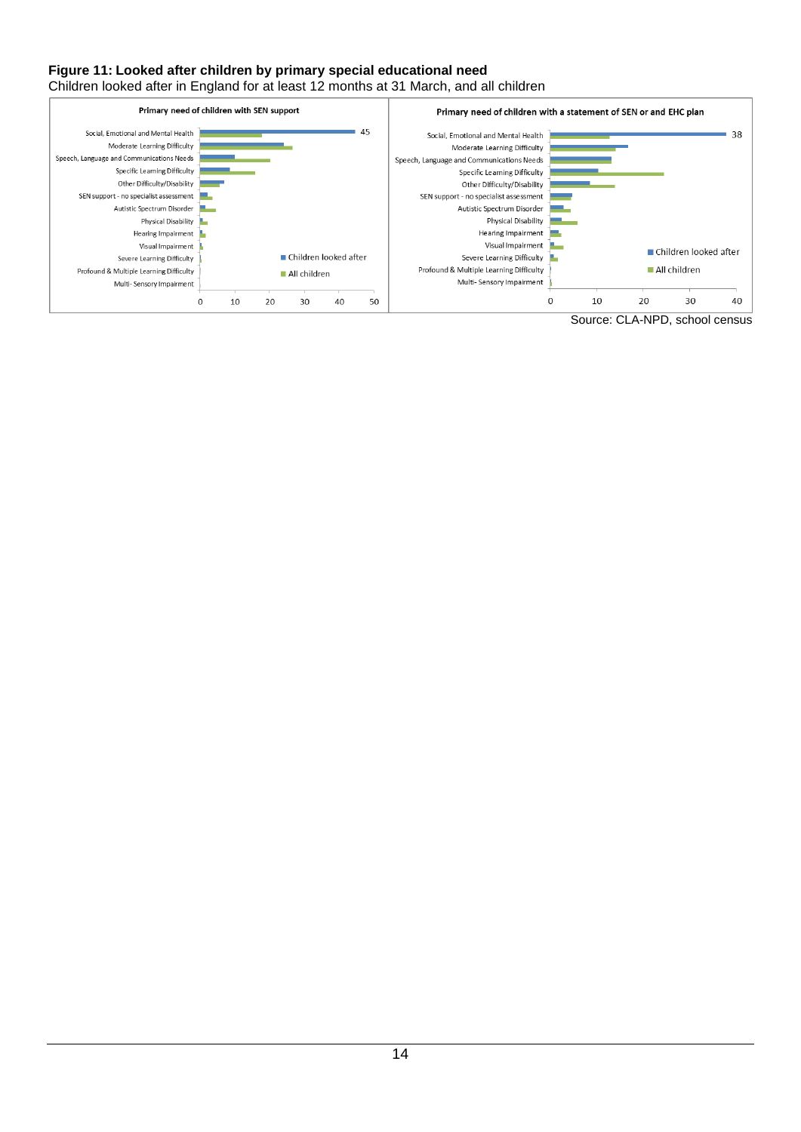#### **Figure 11: Looked after children by primary special educational need**

Children looked after in England for at least 12 months at 31 March, and all children

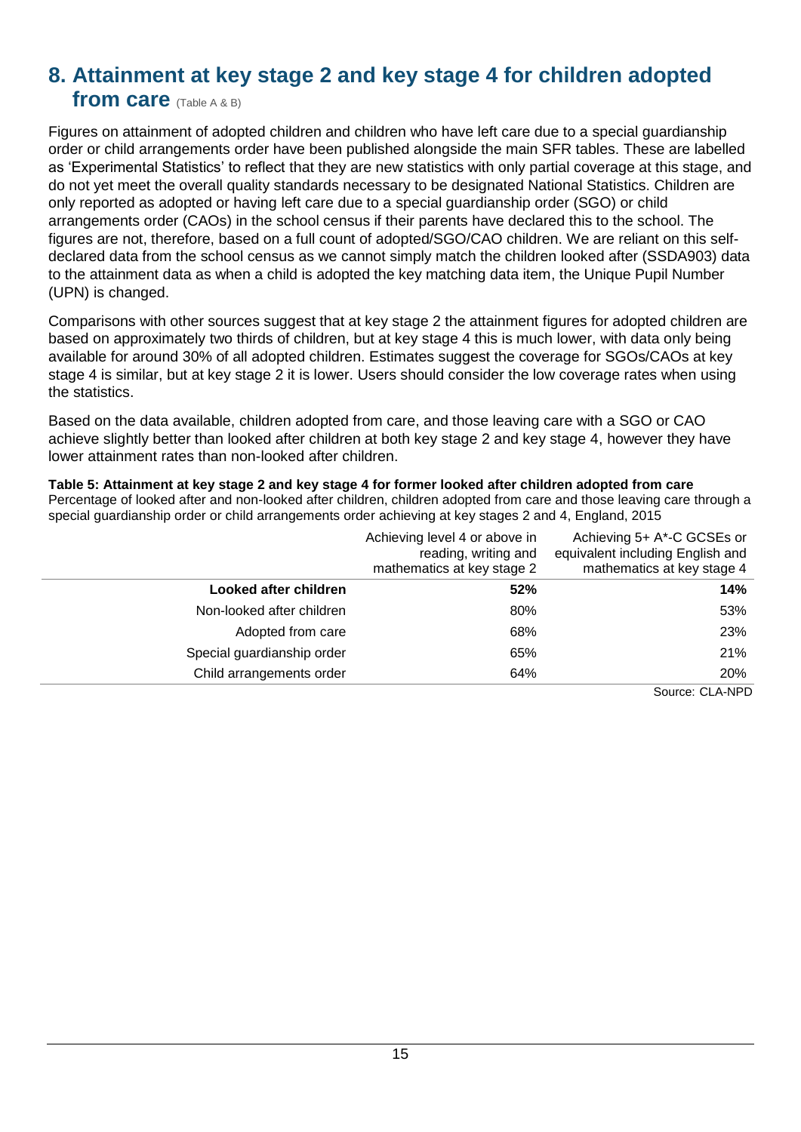## <span id="page-14-0"></span>**8. Attainment at key stage 2 and key stage 4 for children adopted**

### **from care** (Table A & B)

Figures on attainment of adopted children and children who have left care due to a special guardianship order or child arrangements order have been published alongside the main SFR tables. These are labelled as 'Experimental Statistics' to reflect that they are new statistics with only partial coverage at this stage, and do not yet meet the overall quality standards necessary to be designated National Statistics. Children are only reported as adopted or having left care due to a special guardianship order (SGO) or child arrangements order (CAOs) in the school census if their parents have declared this to the school. The figures are not, therefore, based on a full count of adopted/SGO/CAO children. We are reliant on this selfdeclared data from the school census as we cannot simply match the children looked after (SSDA903) data to the attainment data as when a child is adopted the key matching data item, the Unique Pupil Number (UPN) is changed.

Comparisons with other sources suggest that at key stage 2 the attainment figures for adopted children are based on approximately two thirds of children, but at key stage 4 this is much lower, with data only being available for around 30% of all adopted children. Estimates suggest the coverage for SGOs/CAOs at key stage 4 is similar, but at key stage 2 it is lower. Users should consider the low coverage rates when using the statistics.

Based on the data available, children adopted from care, and those leaving care with a SGO or CAO achieve slightly better than looked after children at both key stage 2 and key stage 4, however they have lower attainment rates than non-looked after children.

#### **Table 5: Attainment at key stage 2 and key stage 4 for former looked after children adopted from care**

Percentage of looked after and non-looked after children, children adopted from care and those leaving care through a special guardianship order or child arrangements order achieving at key stages 2 and 4, England, 2015

|                            | Achieving level 4 or above in<br>reading, writing and<br>mathematics at key stage 2 | Achieving 5+ A*-C GCSEs or<br>equivalent including English and<br>mathematics at key stage 4 |
|----------------------------|-------------------------------------------------------------------------------------|----------------------------------------------------------------------------------------------|
| Looked after children      | 52%                                                                                 | 14%                                                                                          |
| Non-looked after children  | 80%                                                                                 | 53%                                                                                          |
| Adopted from care          | 68%                                                                                 | 23%                                                                                          |
| Special guardianship order | 65%                                                                                 | 21%                                                                                          |
| Child arrangements order   | 64%                                                                                 | <b>20%</b>                                                                                   |
|                            |                                                                                     | Source: CLA-NPD                                                                              |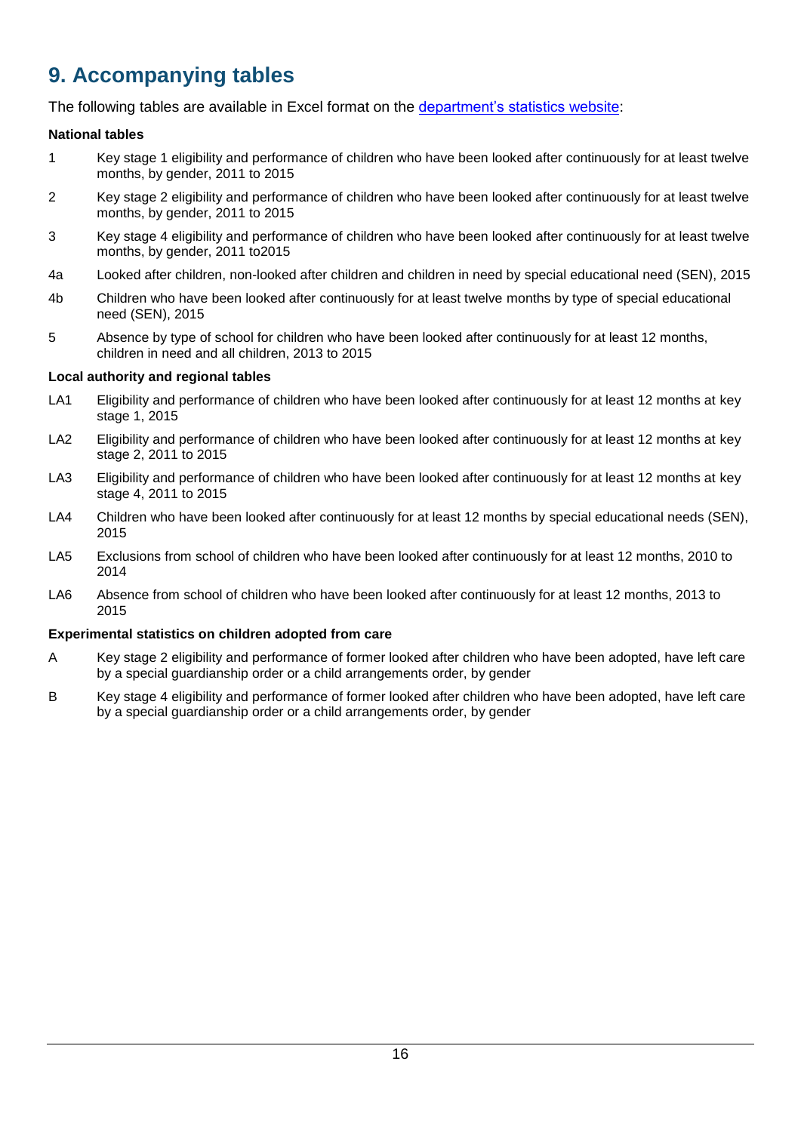# <span id="page-15-0"></span>**9. Accompanying tables**

The following tables are available in Excel format on the [department's statistics](https://www.gov.uk/government/collections/statistics-looked-after-children) website:

#### **National tables**

- 1 Key stage 1 eligibility and performance of children who have been looked after continuously for at least twelve months, by gender, 2011 to 2015
- 2 Key stage 2 eligibility and performance of children who have been looked after continuously for at least twelve months, by gender, 2011 to 2015
- 3 Key stage 4 eligibility and performance of children who have been looked after continuously for at least twelve months, by gender, 2011 to2015
- 4a Looked after children, non-looked after children and children in need by special educational need (SEN), 2015
- 4b Children who have been looked after continuously for at least twelve months by type of special educational need (SEN), 2015
- 5 Absence by type of school for children who have been looked after continuously for at least 12 months, children in need and all children, 2013 to 2015

#### **Local authority and regional tables**

- LA1 Eligibility and performance of children who have been looked after continuously for at least 12 months at key stage 1, 2015
- LA2 Eligibility and performance of children who have been looked after continuously for at least 12 months at key stage 2, 2011 to 2015
- LA3 Eligibility and performance of children who have been looked after continuously for at least 12 months at key stage 4, 2011 to 2015
- LA4 Children who have been looked after continuously for at least 12 months by special educational needs (SEN), 2015
- LA5 Exclusions from school of children who have been looked after continuously for at least 12 months, 2010 to 2014
- LA6 Absence from school of children who have been looked after continuously for at least 12 months, 2013 to 2015

#### **Experimental statistics on children adopted from care**

- A Key stage 2 eligibility and performance of former looked after children who have been adopted, have left care by a special guardianship order or a child arrangements order, by gender
- B Key stage 4 eligibility and performance of former looked after children who have been adopted, have left care by a special guardianship order or a child arrangements order, by gender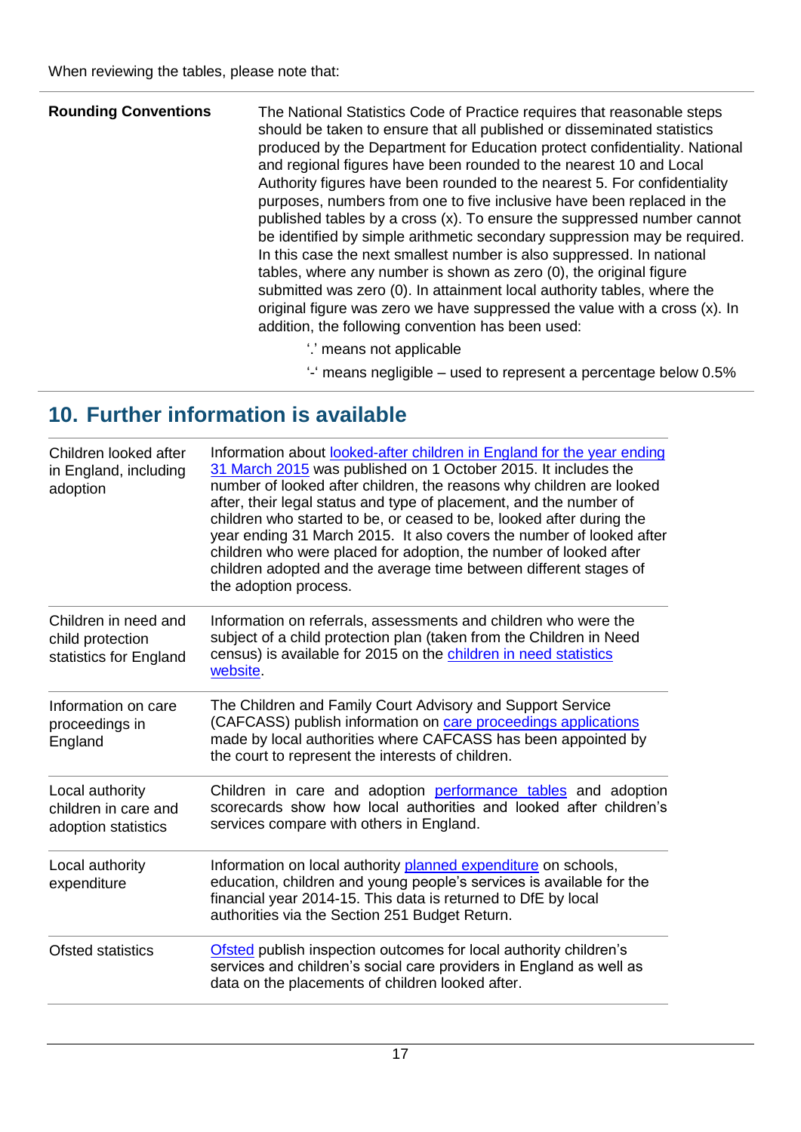| <b>Rounding Conventions</b> | The National Statistics Code of Practice requires that reasonable steps<br>should be taken to ensure that all published or disseminated statistics<br>produced by the Department for Education protect confidentiality. National<br>and regional figures have been rounded to the nearest 10 and Local<br>Authority figures have been rounded to the nearest 5. For confidentiality<br>purposes, numbers from one to five inclusive have been replaced in the<br>published tables by a cross (x). To ensure the suppressed number cannot<br>be identified by simple arithmetic secondary suppression may be required.<br>In this case the next smallest number is also suppressed. In national<br>tables, where any number is shown as zero (0), the original figure<br>submitted was zero (0). In attainment local authority tables, where the<br>original figure was zero we have suppressed the value with a cross (x). In<br>addition, the following convention has been used: |
|-----------------------------|------------------------------------------------------------------------------------------------------------------------------------------------------------------------------------------------------------------------------------------------------------------------------------------------------------------------------------------------------------------------------------------------------------------------------------------------------------------------------------------------------------------------------------------------------------------------------------------------------------------------------------------------------------------------------------------------------------------------------------------------------------------------------------------------------------------------------------------------------------------------------------------------------------------------------------------------------------------------------------|
|                             |                                                                                                                                                                                                                                                                                                                                                                                                                                                                                                                                                                                                                                                                                                                                                                                                                                                                                                                                                                                    |

- '.' means not applicable
- '-' means negligible used to represent a percentage below 0.5%

# <span id="page-16-0"></span>**10. Further information is available**

| Children looked after<br>in England, including<br>adoption         | Information about looked-after children in England for the year ending<br>31 March 2015 was published on 1 October 2015. It includes the<br>number of looked after children, the reasons why children are looked<br>after, their legal status and type of placement, and the number of<br>children who started to be, or ceased to be, looked after during the<br>year ending 31 March 2015. It also covers the number of looked after<br>children who were placed for adoption, the number of looked after<br>children adopted and the average time between different stages of<br>the adoption process. |
|--------------------------------------------------------------------|-----------------------------------------------------------------------------------------------------------------------------------------------------------------------------------------------------------------------------------------------------------------------------------------------------------------------------------------------------------------------------------------------------------------------------------------------------------------------------------------------------------------------------------------------------------------------------------------------------------|
| Children in need and<br>child protection<br>statistics for England | Information on referrals, assessments and children who were the<br>subject of a child protection plan (taken from the Children in Need<br>census) is available for 2015 on the children in need statistics<br>website.                                                                                                                                                                                                                                                                                                                                                                                    |
| Information on care<br>proceedings in<br>England                   | The Children and Family Court Advisory and Support Service<br>(CAFCASS) publish information on care proceedings applications<br>made by local authorities where CAFCASS has been appointed by<br>the court to represent the interests of children.                                                                                                                                                                                                                                                                                                                                                        |
| Local authority<br>children in care and<br>adoption statistics     | Children in care and adoption performance tables and adoption<br>scorecards show how local authorities and looked after children's<br>services compare with others in England.                                                                                                                                                                                                                                                                                                                                                                                                                            |
| Local authority<br>expenditure                                     | Information on local authority planned expenditure on schools,<br>education, children and young people's services is available for the<br>financial year 2014-15. This data is returned to DfE by local<br>authorities via the Section 251 Budget Return.                                                                                                                                                                                                                                                                                                                                                 |
| <b>Ofsted statistics</b>                                           | Ofsted publish inspection outcomes for local authority children's<br>services and children's social care providers in England as well as<br>data on the placements of children looked after.                                                                                                                                                                                                                                                                                                                                                                                                              |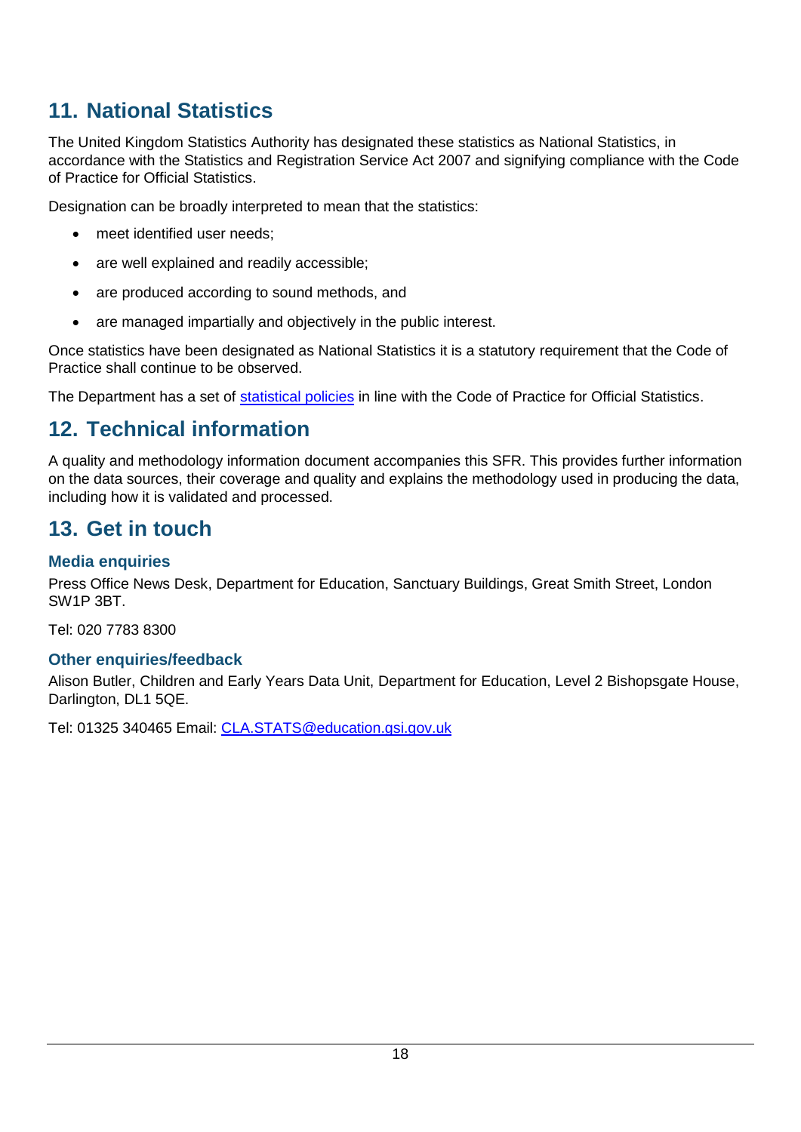## <span id="page-17-0"></span>**11. National Statistics**

The United Kingdom Statistics Authority has designated these statistics as National Statistics, in accordance with the Statistics and Registration Service Act 2007 and signifying compliance with the Code of Practice for Official Statistics.

Designation can be broadly interpreted to mean that the statistics:

- meet identified user needs:
- are well explained and readily accessible;
- are produced according to sound methods, and
- are managed impartially and objectively in the public interest.

Once statistics have been designated as National Statistics it is a statutory requirement that the Code of Practice shall continue to be observed.

The Department has a set of [statistical policies](http://www.gov.uk/government/publications/standards-for-official-statistics-published-by-the-department-for-education) in line with the Code of Practice for Official Statistics.

## <span id="page-17-1"></span>**12. Technical information**

A quality and methodology information document accompanies this SFR. This provides further information on the data sources, their coverage and quality and explains the methodology used in producing the data, including how it is validated and processed.

## <span id="page-17-2"></span>**13. Get in touch**

## <span id="page-17-3"></span>**Media enquiries**

Press Office News Desk, Department for Education, Sanctuary Buildings, Great Smith Street, London SW1P 3BT.

Tel: 020 7783 8300

## <span id="page-17-4"></span>**Other enquiries/feedback**

Alison Butler, Children and Early Years Data Unit, Department for Education, Level 2 Bishopsgate House, Darlington, DL1 5QE.

Tel: 01325 340465 Email: [CLA.STATS@education.gsi.gov.uk](mailto:CLA.STATS@education.gsi.gov.uk)